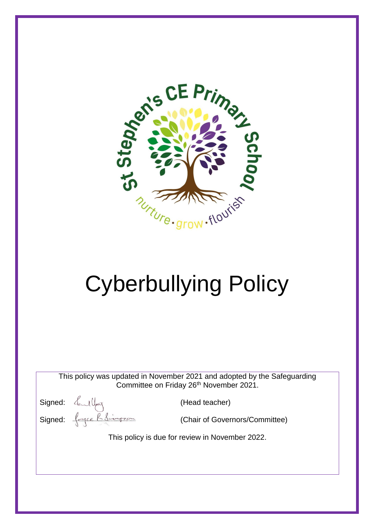

# Cyberbullying Policy

This policy was updated in November 2021 and adopted by the Safeguarding Committee on Friday 26<sup>th</sup> November 2021.

Signed:  $\frac{d}{dx}$  (Head teacher) Signed:  $\left\{\left|\frac{1}{\sqrt{1-\frac{1}{n}}}\right|\right\}$  (Chair of Governors/Committee)

This policy is due for review in November 2022.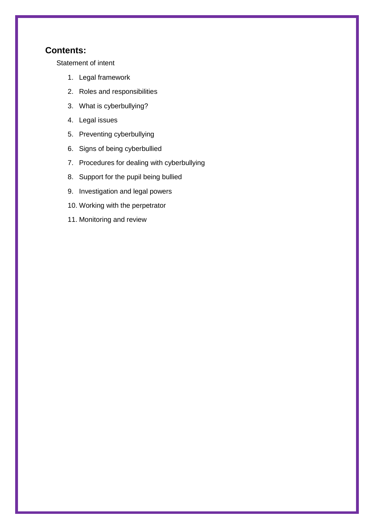## **Contents:**

[Statement of intent](#page-2-0)

- 1. [Legal framework](#page-3-0)
- 2. [Roles and responsibilities](#page-3-1)
- 3. [What is cyberbullying?](#page-4-0)
- 4. [Legal issues](#page-5-0)
- 5. [Preventing cyberbullying](#page-6-0)
- 6. [Signs of being cyberbullied](#page-7-0)
- 7. [Procedures for dealing with cyberbullying](#page-8-0)
- 8. [Support for the pupil being bullied](#page-9-0)
- 9. [Investigation and legal powers](#page-9-1)
- 10. [Working with the perpetrator](#page-10-0)
- 11. [Monitoring and review](#page-10-1)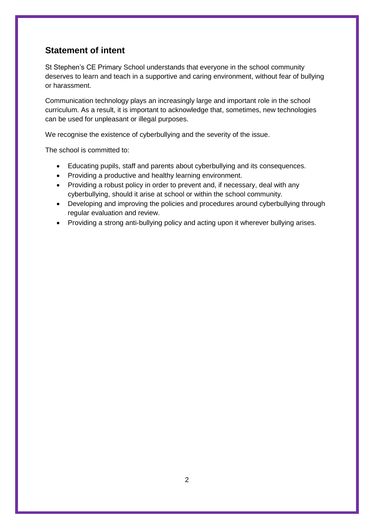## <span id="page-2-0"></span>**Statement of intent**

St Stephen's CE Primary School understands that everyone in the school community deserves to learn and teach in a supportive and caring environment, without fear of bullying or harassment.

Communication technology plays an increasingly large and important role in the school curriculum. As a result, it is important to acknowledge that, sometimes, new technologies can be used for unpleasant or illegal purposes.

We recognise the existence of cyberbullying and the severity of the issue.

The school is committed to:

- Educating pupils, staff and parents about cyberbullying and its consequences.
- Providing a productive and healthy learning environment.
- Providing a robust policy in order to prevent and, if necessary, deal with any cyberbullying, should it arise at school or within the school community.
- Developing and improving the policies and procedures around cyberbullying through regular evaluation and review.
- Providing a strong anti-bullying policy and acting upon it wherever bullying arises.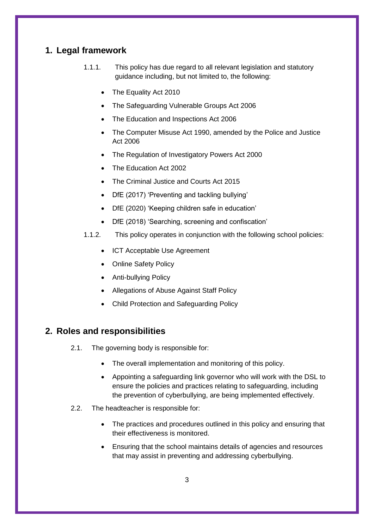## <span id="page-3-0"></span>**1. Legal framework**

- 1.1.1. This policy has due regard to all relevant legislation and statutory guidance including, but not limited to, the following:
	- The Equality Act 2010
	- The Safeguarding Vulnerable Groups Act 2006
	- The Education and Inspections Act 2006
	- The Computer Misuse Act 1990, amended by the Police and Justice Act 2006
	- The Regulation of Investigatory Powers Act 2000
	- The Education Act 2002
	- The Criminal Justice and Courts Act 2015
	- DfE (2017) 'Preventing and tackling bullying'
	- DfE (2020) 'Keeping children safe in education'
	- DfE (2018) 'Searching, screening and confiscation'
- 1.1.2. This policy operates in conjunction with the following school policies:
	- ICT Acceptable Use Agreement
	- Online Safety Policy
	- Anti-bullying Policy
	- Allegations of Abuse Against Staff Policy
	- Child Protection and Safeguarding Policy

#### <span id="page-3-1"></span>**2. Roles and responsibilities**

- 2.1. The governing body is responsible for:
	- The overall implementation and monitoring of this policy.
	- Appointing a safeguarding link governor who will work with the DSL to ensure the policies and practices relating to safeguarding, including the prevention of cyberbullying, are being implemented effectively.
- 2.2. The headteacher is responsible for:
	- The practices and procedures outlined in this policy and ensuring that their effectiveness is monitored.
	- Ensuring that the school maintains details of agencies and resources that may assist in preventing and addressing cyberbullying.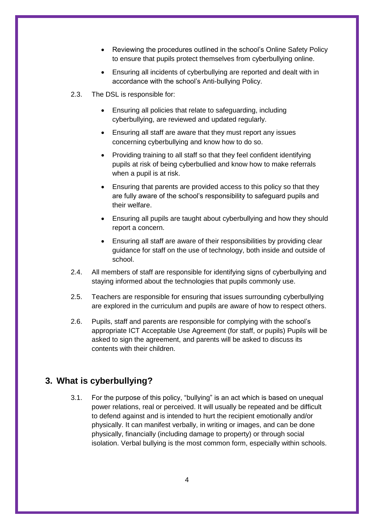- Reviewing the procedures outlined in the school's Online Safety Policy to ensure that pupils protect themselves from cyberbullying online.
- Ensuring all incidents of cyberbullying are reported and dealt with in accordance with the school's Anti-bullying Policy.
- 2.3. The DSL is responsible for:
	- Ensuring all policies that relate to safeguarding, including cyberbullying, are reviewed and updated regularly.
	- Ensuring all staff are aware that they must report any issues concerning cyberbullying and know how to do so.
	- Providing training to all staff so that they feel confident identifying pupils at risk of being cyberbullied and know how to make referrals when a pupil is at risk.
	- Ensuring that parents are provided access to this policy so that they are fully aware of the school's responsibility to safeguard pupils and their welfare.
	- Ensuring all pupils are taught about cyberbullying and how they should report a concern.
	- Ensuring all staff are aware of their responsibilities by providing clear guidance for staff on the use of technology, both inside and outside of school.
- 2.4. All members of staff are responsible for identifying signs of cyberbullying and staying informed about the technologies that pupils commonly use.
- 2.5. Teachers are responsible for ensuring that issues surrounding cyberbullying are explored in the curriculum and pupils are aware of how to respect others.
- 2.6. Pupils, staff and parents are responsible for complying with the school's appropriate ICT Acceptable Use Agreement (for staff, or pupils) Pupils will be asked to sign the agreement, and parents will be asked to discuss its contents with their children.

#### <span id="page-4-0"></span>**3. What is cyberbullying?**

3.1. For the purpose of this policy, "bullying" is an act which is based on unequal power relations, real or perceived. It will usually be repeated and be difficult to defend against and is intended to hurt the recipient emotionally and/or physically. It can manifest verbally, in writing or images, and can be done physically, financially (including damage to property) or through social isolation. Verbal bullying is the most common form, especially within schools.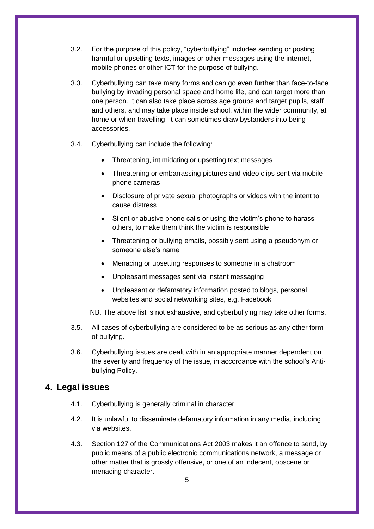- 3.2. For the purpose of this policy, "cyberbullying" includes sending or posting harmful or upsetting texts, images or other messages using the internet, mobile phones or other ICT for the purpose of bullying.
- 3.3. Cyberbullying can take many forms and can go even further than face-to-face bullying by invading personal space and home life, and can target more than one person. It can also take place across age groups and target pupils, staff and others, and may take place inside school, within the wider community, at home or when travelling. It can sometimes draw bystanders into being accessories.
- 3.4. Cyberbullying can include the following:
	- Threatening, intimidating or upsetting text messages
	- Threatening or embarrassing pictures and video clips sent via mobile phone cameras
	- Disclosure of private sexual photographs or videos with the intent to cause distress
	- Silent or abusive phone calls or using the victim's phone to harass others, to make them think the victim is responsible
	- Threatening or bullying emails, possibly sent using a pseudonym or someone else's name
	- Menacing or upsetting responses to someone in a chatroom
	- Unpleasant messages sent via instant messaging
	- Unpleasant or defamatory information posted to blogs, personal websites and social networking sites, e.g. Facebook

NB. The above list is not exhaustive, and cyberbullying may take other forms.

- 3.5. All cases of cyberbullying are considered to be as serious as any other form of bullying.
- 3.6. Cyberbullying issues are dealt with in an appropriate manner dependent on the severity and frequency of the issue, in accordance with the school's Antibullying Policy.

#### <span id="page-5-0"></span>**4. Legal issues**

- 4.1. Cyberbullying is generally criminal in character.
- 4.2. It is unlawful to disseminate defamatory information in any media, including via websites.
- 4.3. Section 127 of the Communications Act 2003 makes it an offence to send, by public means of a public electronic communications network, a message or other matter that is grossly offensive, or one of an indecent, obscene or menacing character.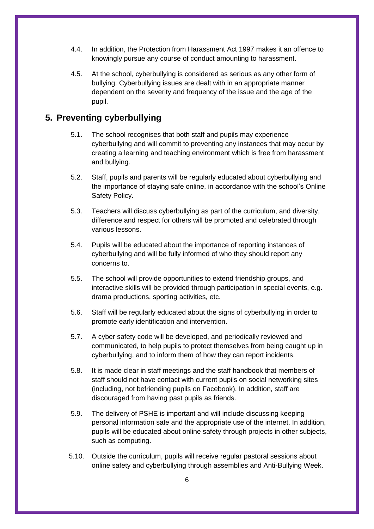- 4.4. In addition, the Protection from Harassment Act 1997 makes it an offence to knowingly pursue any course of conduct amounting to harassment.
- 4.5. At the school, cyberbullying is considered as serious as any other form of bullying. Cyberbullying issues are dealt with in an appropriate manner dependent on the severity and frequency of the issue and the age of the pupil.

## <span id="page-6-0"></span>**5. Preventing cyberbullying**

- 5.1. The school recognises that both staff and pupils may experience cyberbullying and will commit to preventing any instances that may occur by creating a learning and teaching environment which is free from harassment and bullying.
- 5.2. Staff, pupils and parents will be regularly educated about cyberbullying and the importance of staying safe online, in accordance with the school's Online Safety Policy.
- 5.3. Teachers will discuss cyberbullying as part of the curriculum, and diversity, difference and respect for others will be promoted and celebrated through various lessons.
- 5.4. Pupils will be educated about the importance of reporting instances of cyberbullying and will be fully informed of who they should report any concerns to.
- 5.5. The school will provide opportunities to extend friendship groups, and interactive skills will be provided through participation in special events, e.g. drama productions, sporting activities, etc.
- 5.6. Staff will be regularly educated about the signs of cyberbullying in order to promote early identification and intervention.
- 5.7. A cyber safety code will be developed, and periodically reviewed and communicated, to help pupils to protect themselves from being caught up in cyberbullying, and to inform them of how they can report incidents.
- 5.8. It is made clear in staff meetings and the staff handbook that members of staff should not have contact with current pupils on social networking sites (including, not befriending pupils on Facebook). In addition, staff are discouraged from having past pupils as friends.
- 5.9. The delivery of PSHE is important and will include discussing keeping personal information safe and the appropriate use of the internet. In addition, pupils will be educated about online safety through projects in other subjects, such as computing.
- 5.10. Outside the curriculum, pupils will receive regular pastoral sessions about online safety and cyberbullying through assemblies and Anti-Bullying Week.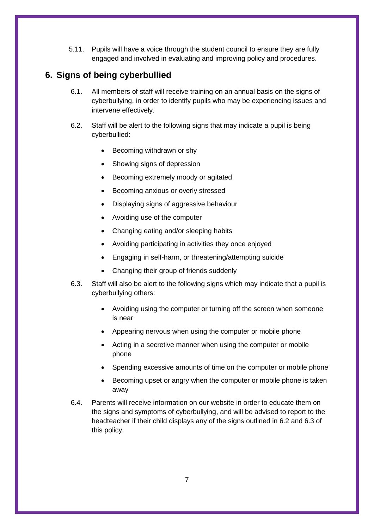5.11. Pupils will have a voice through the student council to ensure they are fully engaged and involved in evaluating and improving policy and procedures.

## <span id="page-7-0"></span>**6. Signs of being cyberbullied**

- 6.1. All members of staff will receive training on an annual basis on the signs of cyberbullying, in order to identify pupils who may be experiencing issues and intervene effectively.
- 6.2. Staff will be alert to the following signs that may indicate a pupil is being cyberbullied:
	- Becoming withdrawn or shy
	- Showing signs of depression
	- Becoming extremely moody or agitated
	- Becoming anxious or overly stressed
	- Displaying signs of aggressive behaviour
	- Avoiding use of the computer
	- Changing eating and/or sleeping habits
	- Avoiding participating in activities they once enjoyed
	- Engaging in self-harm, or threatening/attempting suicide
	- Changing their group of friends suddenly
- 6.3. Staff will also be alert to the following signs which may indicate that a pupil is cyberbullying others:
	- Avoiding using the computer or turning off the screen when someone is near
	- Appearing nervous when using the computer or mobile phone
	- Acting in a secretive manner when using the computer or mobile phone
	- Spending excessive amounts of time on the computer or mobile phone
	- Becoming upset or angry when the computer or mobile phone is taken away
- 6.4. Parents will receive information on our website in order to educate them on the signs and symptoms of cyberbullying, and will be advised to report to the headteacher if their child displays any of the signs outlined in 6.2 and 6.3 of this policy.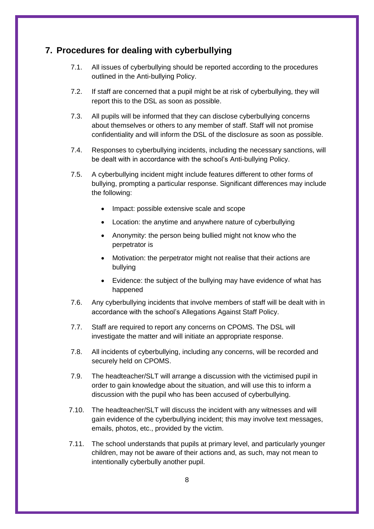#### <span id="page-8-0"></span>**7. Procedures for dealing with cyberbullying**

- 7.1. All issues of cyberbullying should be reported according to the procedures outlined in the Anti-bullying Policy.
- 7.2. If staff are concerned that a pupil might be at risk of cyberbullying, they will report this to the DSL as soon as possible.
- 7.3. All pupils will be informed that they can disclose cyberbullying concerns about themselves or others to any member of staff. Staff will not promise confidentiality and will inform the DSL of the disclosure as soon as possible.
- 7.4. Responses to cyberbullying incidents, including the necessary sanctions, will be dealt with in accordance with the school's Anti-bullying Policy.
- 7.5. A cyberbullying incident might include features different to other forms of bullying, prompting a particular response. Significant differences may include the following:
	- Impact: possible extensive scale and scope
	- Location: the anytime and anywhere nature of cyberbullying
	- Anonymity: the person being bullied might not know who the perpetrator is
	- Motivation: the perpetrator might not realise that their actions are bullying
	- Evidence: the subject of the bullying may have evidence of what has happened
- 7.6. Any cyberbullying incidents that involve members of staff will be dealt with in accordance with the school's Allegations Against Staff Policy.
- 7.7. Staff are required to report any concerns on CPOMS. The DSL will investigate the matter and will initiate an appropriate response.
- 7.8. All incidents of cyberbullying, including any concerns, will be recorded and securely held on CPOMS.
- 7.9. The headteacher/SLT will arrange a discussion with the victimised pupil in order to gain knowledge about the situation, and will use this to inform a discussion with the pupil who has been accused of cyberbullying.
- 7.10. The headteacher/SLT will discuss the incident with any witnesses and will gain evidence of the cyberbullying incident; this may involve text messages, emails, photos, etc., provided by the victim.
- 7.11. The school understands that pupils at primary level, and particularly younger children, may not be aware of their actions and, as such, may not mean to intentionally cyberbully another pupil.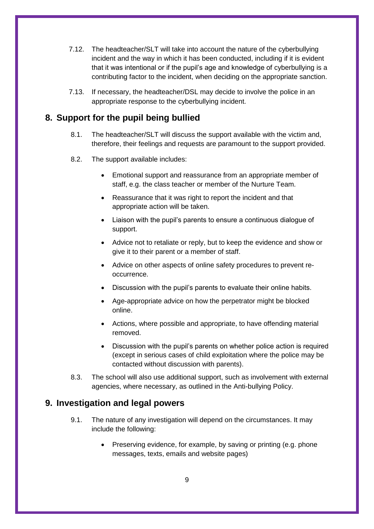- 7.12. The headteacher/SLT will take into account the nature of the cyberbullying incident and the way in which it has been conducted, including if it is evident that it was intentional or if the pupil's age and knowledge of cyberbullying is a contributing factor to the incident, when deciding on the appropriate sanction.
- 7.13. If necessary, the headteacher/DSL may decide to involve the police in an appropriate response to the cyberbullying incident.

## <span id="page-9-0"></span>**8. Support for the pupil being bullied**

- 8.1. The headteacher/SLT will discuss the support available with the victim and, therefore, their feelings and requests are paramount to the support provided.
- 8.2. The support available includes:
	- Emotional support and reassurance from an appropriate member of staff, e.g. the class teacher or member of the Nurture Team.
	- Reassurance that it was right to report the incident and that appropriate action will be taken.
	- Liaison with the pupil's parents to ensure a continuous dialogue of support.
	- Advice not to retaliate or reply, but to keep the evidence and show or give it to their parent or a member of staff.
	- Advice on other aspects of online safety procedures to prevent reoccurrence.
	- Discussion with the pupil's parents to evaluate their online habits.
	- Age-appropriate advice on how the perpetrator might be blocked online.
	- Actions, where possible and appropriate, to have offending material removed.
	- Discussion with the pupil's parents on whether police action is required (except in serious cases of child exploitation where the police may be contacted without discussion with parents).
- 8.3. The school will also use additional support, such as involvement with external agencies, where necessary, as outlined in the Anti-bullying Policy.

#### <span id="page-9-1"></span>**9. Investigation and legal powers**

- 9.1. The nature of any investigation will depend on the circumstances. It may include the following:
	- Preserving evidence, for example, by saving or printing (e.g. phone messages, texts, emails and website pages)